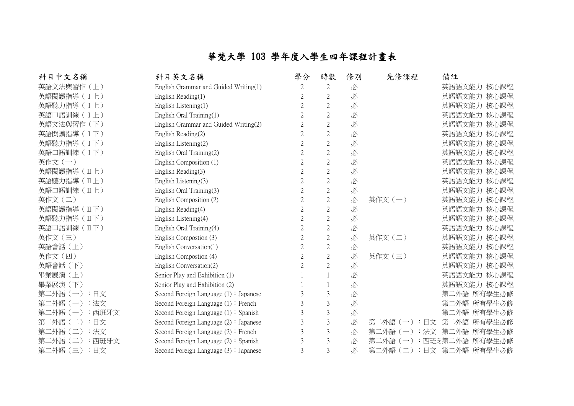## 華梵大學 103 學年度入學生四年課程計畫表

| 科目中文名稱            | 科目英文名稱                                   | 學分 | 時數             | 修別 | 先修課程            | 備註               |
|-------------------|------------------------------------------|----|----------------|----|-----------------|------------------|
| 英語文法與習作(上)        | English Grammar and Guided Writing(1)    |    | $\mathbf{2}$   | 必  |                 | 英語語文能力 核心課程)     |
| 英語閱讀指導 (I上)       | English Reading(1)                       |    | $\overline{2}$ | 必  |                 | 英語語文能力 核心課程)     |
| 英語聽力指導 (I上)       | English Listening(1)                     |    | $\mathbf{2}$   | 必  |                 | 英語語文能力 核心課程)     |
| 英語口語訓練(I上)        | English Oral Training(1)                 |    | $2\,$          | 必  |                 | 英語語文能力 核心課程)     |
| 英語文法與習作 (下)       | English Grammar and Guided Writing(2)    |    | $\overline{2}$ | 必  |                 | 英語語文能力 核心課程)     |
| 英語閱讀指導(I下)        | English Reading(2)                       |    | $\mathbf{2}$   | 必  |                 | 英語語文能力 核心課程)     |
| 英語聽力指導 (I下)       | English Listening(2)                     |    | $\overline{2}$ | 必  |                 | 英語語文能力 核心課程)     |
| 英語口語訓練(I下)        | English Oral Training(2)                 |    | $\mathbf{2}$   | 必  |                 | 英語語文能力 核心課程)     |
| 英作文(一)            | English Composition (1)                  |    | $2\,$          | 必  |                 | 英語語文能力 核心課程)     |
| 英語閱讀指導(IL上)       | English Reading(3)                       |    | $\mathbf{2}$   | 必  |                 | 英語語文能力 核心課程)     |
| 英語聽力指導 (IL上)      | English Listening(3)                     |    | $2\,$          | 必  |                 | 英語語文能力 核心課程)     |
| 英語口語訓練(IL上)       | English Oral Training(3)                 |    | $2\,$          | 必  |                 | 英語語文能力 核心課程)     |
| 英作文(二)            | English Composition (2)                  |    | $2\,$          | 必  | 英作文(一)          | 英語語文能力 核心課程)     |
| 英語閱讀指導(IT)        | English Reading(4)                       |    | $\mathbf{2}$   | 必  |                 | 英語語文能力 核心課程)     |
| 英語聽力指導 (IT)       | English Listening(4)                     |    | $2\,$          | 必  |                 | 英語語文能力 核心課程)     |
| 英語口語訓練 (IT下)      | English Oral Training(4)                 |    | $2\,$          | 必  |                 | 英語語文能力 核心課程)     |
| 英作文(三)            | English Compostion (3)                   |    | $\sqrt{2}$     | 必  | 英作文(二)          | 英語語文能力 核心課程)     |
| 英語會話 (上)          | English Conversation(1)                  |    | $\mathbf{2}$   | 必  |                 | 英語語文能力 核心課程)     |
| 英作文(四)            | English Compostion (4)                   |    | $\mathbf{2}$   | 必  | 英作文 (三)         | 英語語文能力 核心課程)     |
| 英語會話 (下)          | English Conversation(2)                  |    | $\overline{2}$ | 必  |                 | 英語語文能力 核心課程)     |
| 畢業展演(上)           | Senior Play and Exhibition (1)           |    |                | 必  |                 | 英語語文能力 核心課程)     |
| 畢業展演 (下)          | Senior Play and Exhibition (2)           |    |                | 必  |                 | 英語語文能力 核心課程)     |
| 第二外語(一):日文        | Second Foreign Language $(1)$ : Japanese |    | 3              | 必  |                 | 第二外語 所有學生必修      |
| 第二外語(一):法文        | Second Foreign Language $(1)$ : French   |    | $\mathfrak{Z}$ | 必  |                 | 第二外語 所有學生必修      |
| 第二外語(一):西班牙文      | Second Foreign Language $(1)$ : Spanish  |    | $\mathfrak{Z}$ | 必  |                 | 第二外語 所有學生必修      |
| 第二外語(二)<br>:日文    | Second Foreign Language $(2)$ : Japanese |    | $\mathfrak{Z}$ | 必  | 第二外語 (一)<br>:日文 | 第二外語 所有學生必修      |
| 第二外語(二):法文        | Second Foreign Language $(2)$ : French   |    | 3              | 必  | 第二外語 (一)<br>:法文 | :外語 所有學生必修<br>第. |
| 第二外語 (二)<br>:西班牙文 | Second Foreign Language $(2)$ : Spanish  |    | 3              | 必  | 第二外語 (一)        | 西班牙第二外語 所有學生必修   |
| 第二外語(三):日文        | Second Foreign Language $(3)$ : Japanese | 3  | 3              | 必  | 第二外語 (二)        | :日文 第二外語 所有學生必修  |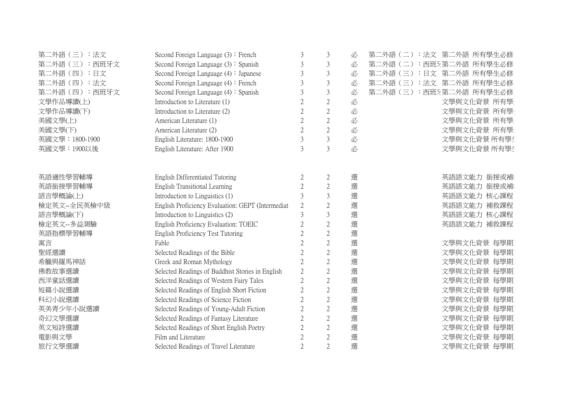| 第二外語 (三):法文     | Second Foreign Language $(3)$ : French            | $\mathcal{E}$  | $\mathfrak{Z}$ |   | :法文 第二外語 所有學生必修<br>第二外語 (二) |
|-----------------|---------------------------------------------------|----------------|----------------|---|-----------------------------|
| 第二外語 (三):西班牙文   | Second Foreign Language $(3)$ : Spanish           |                | $\mathfrak{Z}$ | 必 | :西班5第二外語 所有學生必修<br>第二外語 (二) |
| 第二外語 (四):日文     | Second Foreign Language $(4)$ : Japanese          |                | $\mathfrak{Z}$ | 必 | 第二外語 (三)<br>:日文 第二外語 所有學生必修 |
| 第二外語 (四):法文     | Second Foreign Language $(4)$ : French            | 3              | $\mathfrak{Z}$ | 必 | :法文 第二外語 所有學生必修<br>第二外語 (三) |
| 第二外語 (四):西班牙文   | Second Foreign Language $(4)$ : Spanish           | $\mathcal{E}$  | $\mathfrak{Z}$ | 必 | 第二外語 (三)<br>:西班牙第二外語 所有學生必修 |
| 文學作品導讀(上)       | Introduction to Literature (1)                    |                | $\overline{2}$ | 必 | 文學與文化背景 所有學                 |
| 文學作品導讀(下)       | Introduction to Literature (2)                    |                | 2              | 必 | 文學與文化背景 所有學                 |
| 美國文學(上)         | American Literature (1)                           |                | $\overline{2}$ | 必 | 文學與文化背景 所有學                 |
| 美國文學(下)         | American Literature (2)                           |                | $\overline{2}$ | 必 | 文學與文化背景 所有學                 |
| 英國文學: 1800-1900 | English Literature: 1800-1900                     |                | $\mathfrak{Z}$ | 必 | 文學與文化背景 所有學生                |
| 英國文學: 1900以後    | English Literature: After 1900                    |                | $\overline{3}$ | 必 | 文學與文化背景 所有學生                |
|                 |                                                   |                |                |   |                             |
|                 |                                                   |                |                |   |                             |
| 英語適性學習輔導        | English Differentiated Tutoring                   |                | $\overline{2}$ | 選 | 英語語文能力 銜接或補                 |
| 英語銜接學習輔導        | English Transitional Learning                     | $\overline{2}$ | $\overline{2}$ | 選 | 英語語文能力 銜接或補?                |
| 語言學概論(上)        | Introduction to Linguistics (1)                   |                | $\overline{3}$ | 選 | 英語語文能力 核心課程                 |
| 檢定英文--全民英檢中級    | English Proficiency Evaluation: GEPT (Intermediat | 2              | $\sqrt{2}$     | 選 | 英語語文能力 補救課程                 |
| 語言學概論(下)        | Introduction to Linguistics (2)                   |                | $\overline{3}$ | 選 | 英語語文能力 核心課程                 |
| 檢定英文--多益測驗      | English Proficiency Evaluation: TOEIC             |                | $\overline{2}$ | 選 | 英語語文能力 補救課程                 |
| 英語指標學習輔導        | English Proficiency Test Tutoring                 |                | $\overline{2}$ | 選 |                             |
| 寓言              | Fable                                             |                | $\overline{2}$ | 選 | 文學與文化背景 每學期                 |
| 聖經選讀            | Selected Readings of the Bible                    |                | $\overline{2}$ | 選 | 文學與文化背景 每學期                 |
| 希臘與羅馬神話         | Greek and Roman Mythology                         |                | $\overline{2}$ | 選 | 文學與文化背景 每學期                 |
| 佛教故事選讀          | Selected Readings of Buddhist Stories in English  | $\overline{2}$ | $\overline{2}$ | 選 | 文學與文化背景 每學期                 |
| 西洋童話選讀          | Selected Readings of Western Fairy Tales          |                | $\overline{2}$ | 選 | 文學與文化背景 每學期                 |
| 短篇小說選讀          | Selected Readings of English Short Fiction        |                | $\overline{2}$ | 選 | 文學與文化背景 每學期                 |
| 科幻小說選讀          | Selected Readings of Science Fiction              |                | $\overline{2}$ | 選 | 文學與文化背景 每學期                 |
| 英美青少年小說選讀       | Selected Readings of Young-Adult Fiction          |                | $\overline{2}$ | 選 | 文學與文化背景 每學期                 |
| 奇幻文學選讀          | Selected Readings of Fantasy Literature           |                | $\overline{2}$ | 選 | 文學與文化背景 每學期                 |
| 英文短詩選讀          | Selected Readings of Short English Poetry         |                | 2              | 選 | 文學與文化背景 每學期                 |
| 電影與文學           | Film and Literature                               |                | $\overline{2}$ | 選 | 文學與文化背景 每學期                 |
| 旅行文學選讀          | Selected Readings of Travel Literature            | $\overline{2}$ | $\overline{2}$ | 選 | 文學與文化背景 每學期                 |
|                 |                                                   |                |                |   |                             |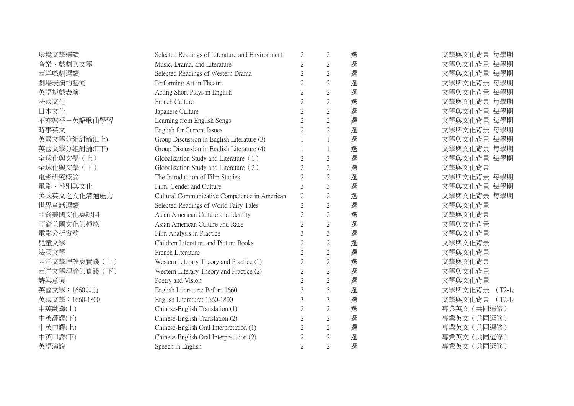| 環境文學選讀          | Selected Readings of Literature and Environment | $\overline{2}$                                                                                                                                                                                                                                                                                                                                                                                         | $\overline{2}$ | 選 | 文學與文化背景 每學期         |
|-----------------|-------------------------------------------------|--------------------------------------------------------------------------------------------------------------------------------------------------------------------------------------------------------------------------------------------------------------------------------------------------------------------------------------------------------------------------------------------------------|----------------|---|---------------------|
| 音樂、戲劇與文學        | Music, Drama, and Literature                    | $\overline{2}$                                                                                                                                                                                                                                                                                                                                                                                         | $\overline{2}$ | 選 | 文學與文化背景 每學期         |
| 西洋戲劇選讀          | Selected Readings of Western Drama              | 2                                                                                                                                                                                                                                                                                                                                                                                                      | $\overline{2}$ | 選 | 文學與文化背景 每學期         |
| 劇場表演的藝術         | Performing Art in Theatre                       |                                                                                                                                                                                                                                                                                                                                                                                                        | $\overline{2}$ | 選 | 文學與文化背景 每學期         |
| 英語短戲表演          | Acting Short Plays in English                   |                                                                                                                                                                                                                                                                                                                                                                                                        | $\overline{2}$ | 選 | 文學與文化背景 每學期         |
| 法國文化            | French Culture                                  |                                                                                                                                                                                                                                                                                                                                                                                                        | $\overline{2}$ | 選 | 文學與文化背景 每學期         |
| 日本文化            | Japanese Culture                                | $\mathfrak{D}_{1}^{(1)}=\mathfrak{D}_{2}^{(1)}=\mathfrak{D}_{2}^{(1)}=\mathfrak{D}_{2}^{(1)}=\mathfrak{D}_{2}^{(1)}=\mathfrak{D}_{2}^{(1)}=\mathfrak{D}_{2}^{(1)}=\mathfrak{D}_{2}^{(1)}=\mathfrak{D}_{2}^{(1)}=\mathfrak{D}_{2}^{(1)}=\mathfrak{D}_{2}^{(1)}=\mathfrak{D}_{2}^{(1)}=\mathfrak{D}_{2}^{(1)}=\mathfrak{D}_{2}^{(1)}=\mathfrak{D}_{2}^{(1)}=\mathfrak{D}_{2}^{(1)}=\mathfrak{D}_{2}^{(1$ | $\overline{2}$ | 選 | 文學與文化背景 每學期         |
| 不亦樂乎-英語歌曲學習     | Learning from English Songs                     |                                                                                                                                                                                                                                                                                                                                                                                                        | $\overline{2}$ | 選 | 文學與文化背景 每學期         |
| 時事英文            | English for Current Issues                      |                                                                                                                                                                                                                                                                                                                                                                                                        | $\overline{2}$ | 選 | 文學與文化背景 每學期         |
| 英國文學分組討論(II上)   | Group Discussion in English Literature (3)      |                                                                                                                                                                                                                                                                                                                                                                                                        |                | 選 | 文學與文化背景 每學期         |
| 英國文學分組討論(II下)   | Group Discussion in English Literature (4)      |                                                                                                                                                                                                                                                                                                                                                                                                        |                | 選 | 文學與文化背景 每學期         |
| 全球化與文學(上)       | Globalization Study and Literature (1)          |                                                                                                                                                                                                                                                                                                                                                                                                        | $\overline{2}$ | 選 | 文學與文化背景 每學期         |
| 全球化與文學 (下)      | Globalization Study and Literature (2)          |                                                                                                                                                                                                                                                                                                                                                                                                        | $\overline{2}$ | 選 | 文學與文化背景             |
| 電影研究概論          | The Introduction of Film Studies                |                                                                                                                                                                                                                                                                                                                                                                                                        | $\overline{2}$ | 選 | 文學與文化背景 每學期         |
| 電影、性別與文化        | Film, Gender and Culture                        |                                                                                                                                                                                                                                                                                                                                                                                                        | $\overline{3}$ | 選 | 文學與文化背景 每學期         |
| 美式英文之文化溝通能力     | Cultural Communicative Competence in American   | $\overline{2}$                                                                                                                                                                                                                                                                                                                                                                                         | $\overline{2}$ | 選 | 文學與文化背景 每學期         |
| 世界童話選讀          | Selected Readings of World Fairy Tales          | $\mathfrak{2}$                                                                                                                                                                                                                                                                                                                                                                                         | $\overline{2}$ | 選 | 文學與文化背景             |
| 亞裔美國文化與認同       | Asian American Culture and Identity             | $\overline{2}$                                                                                                                                                                                                                                                                                                                                                                                         | $\overline{2}$ | 選 | 文學與文化背景             |
| 亞裔美國文化與種族       | Asian American Culture and Race                 |                                                                                                                                                                                                                                                                                                                                                                                                        | $\overline{2}$ | 選 | 文學與文化背景             |
| 電影分析實務          | Film Analysis in Practice                       |                                                                                                                                                                                                                                                                                                                                                                                                        | $\overline{3}$ | 選 | 文學與文化背景             |
| 兒童文學            | Children Literature and Picture Books           | 2                                                                                                                                                                                                                                                                                                                                                                                                      | $\overline{2}$ | 選 | 文學與文化背景             |
| 法國文學            | French Literature                               |                                                                                                                                                                                                                                                                                                                                                                                                        | $\overline{2}$ | 選 | 文學與文化背景             |
| 西洋文學理論與實踐(上)    | Western Literary Theory and Practice (1)        |                                                                                                                                                                                                                                                                                                                                                                                                        | $\overline{2}$ | 選 | 文學與文化背景             |
| 西洋文學理論與實踐(下)    | Western Literary Theory and Practice (2)        |                                                                                                                                                                                                                                                                                                                                                                                                        | $\overline{2}$ | 選 | 文學與文化背景             |
| 詩與意境            | Poetry and Vision                               |                                                                                                                                                                                                                                                                                                                                                                                                        | $\overline{2}$ | 選 | 文學與文化背景             |
| 英國文學:1660以前     | English Literature: Before 1660                 |                                                                                                                                                                                                                                                                                                                                                                                                        | $\overline{3}$ | 選 | 文學與文化背景<br>$(T2-1)$ |
| 英國文學: 1660-1800 | English Literature: 1660-1800                   |                                                                                                                                                                                                                                                                                                                                                                                                        | $\overline{3}$ | 選 | 文學與文化背景 (T2-14      |
| 中英翻譯(上)         | Chinese-English Translation (1)                 | 2                                                                                                                                                                                                                                                                                                                                                                                                      | $\overline{2}$ | 選 | 專業英文 (共同選修)         |
| 中英翻譯(下)         | Chinese-English Translation (2)                 |                                                                                                                                                                                                                                                                                                                                                                                                        | $\overline{2}$ | 選 | 專業英文 (共同選修)         |
| 中英口譯(上)         | Chinese-English Oral Interpretation (1)         | $\overline{2}$                                                                                                                                                                                                                                                                                                                                                                                         | $\overline{2}$ | 選 | 專業英文 (共同選修)         |
| 中英口譯(下)         | Chinese-English Oral Interpretation (2)         | $\mathcal{D}_{\mathcal{A}}^{\mathcal{A}}(\mathcal{A})=\mathcal{D}_{\mathcal{A}}^{\mathcal{A}}(\mathcal{A})\mathcal{D}_{\mathcal{A}}^{\mathcal{A}}(\mathcal{A})$                                                                                                                                                                                                                                        | $\overline{2}$ | 選 | 專業英文 (共同選修)         |
| 英語演說            | Speech in English                               | 2                                                                                                                                                                                                                                                                                                                                                                                                      | $\overline{2}$ | 選 | 專業英文 (共同選修)         |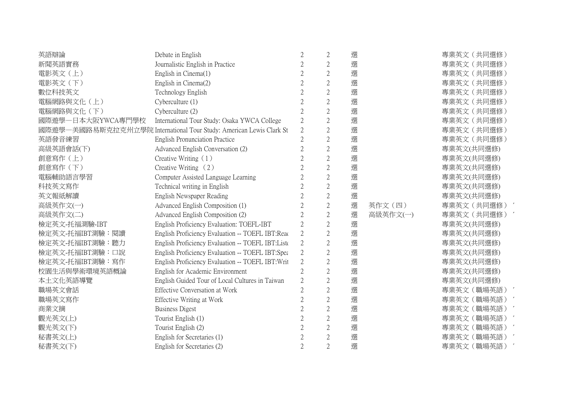| 英語辯論              | Debate in English                                                   | 2              | $\overline{2}$ | 選 |          | 專業英文 (共同選修) |
|-------------------|---------------------------------------------------------------------|----------------|----------------|---|----------|-------------|
| 新聞英語實務            | Journalistic English in Practice                                    | 2              | $\overline{2}$ | 選 |          | 專業英文 (共同選修) |
| 電影英文(上)           | English in Cinema(1)                                                | 2              | $\overline{2}$ | 選 |          | 專業英文 (共同選修) |
| 電影英文 (下)          | English in Cinema(2)                                                | 2              | $\overline{2}$ | 選 |          | 專業英文 (共同選修) |
| 數位科技英文            | Technology English                                                  | 2              | $\overline{c}$ | 選 |          | 專業英文 (共同選修) |
| 電腦網路與文化(上)        | Cyberculture (1)                                                    | $\overline{2}$ | $\overline{2}$ | 選 |          | 專業英文 (共同選修) |
| 電腦網路與文化(下)        | Cyberculture (2)                                                    | 2              | $\overline{2}$ | 選 |          | 專業英文 (共同選修) |
| 國際遊學一日本大阪YWCA專門學校 | International Tour Study: Osaka YWCA College                        | 2              | $\overline{2}$ | 選 |          | 專業英文 (共同選修) |
|                   | 國際遊學一美國路易斯克拉克州立學院 International Tour Study: American Lewis Clark St | $\overline{2}$ | $\overline{2}$ | 選 |          | 專業英文 (共同選修) |
| 英語發音練習            | <b>English Pronunciation Practice</b>                               | 2              | $\overline{2}$ | 選 |          | 專業英文 (共同選修) |
| 高級英語會話(下)         | Advanced English Conversation (2)                                   | 2              | $\sqrt{2}$     | 選 |          | 專業英文(共同選修)  |
| 創意寫作(上)           | Creative Writing $(1)$                                              | $\overline{2}$ | $\overline{2}$ | 選 |          | 專業英文(共同選修)  |
| 創意寫作 (下)          | Creative Writing $(2)$                                              | 2              | $\overline{2}$ | 選 |          | 專業英文(共同選修)  |
| 電腦輔助語言學習          | Computer Assisted Language Learning                                 | 2              | $\overline{2}$ | 選 |          | 專業英文(共同選修)  |
| 科技英文寫作            | Technical writing in English                                        | 2              | $\overline{2}$ | 選 |          | 專業英文(共同選修)  |
| 英文報紙解讀            | English Newspaper Reading                                           | 2              | $\overline{2}$ | 選 |          | 專業英文(共同選修)  |
| 高級英作文(一)          | Advanced English Composition (1)                                    | 2              | $\sqrt{2}$     | 選 | 英作文(四)   | 專業英文 (共同選修) |
| 高級英作文(二)          | Advanced English Composition (2)                                    | 2              | $\sqrt{2}$     | 選 | 高級英作文(一) | 專業英文 (共同選修) |
| 檢定英文-托福測驗-IBT     | English Proficiency Evaluation: TOEFL-IBT                           | 2              | $\overline{2}$ | 選 |          | 專業英文(共同選修)  |
| 檢定英文-托福IBT測驗:閱讀   | English Proficiency Evaluation -- TOEFL IBT:Read                    | 2              | $\overline{2}$ | 選 |          | 專業英文(共同選修)  |
| 檢定英文-托福IBT測驗:聽力   | English Proficiency Evaluation -- TOEFL IBT:Liste                   | $\overline{2}$ | $\sqrt{2}$     | 選 |          | 專業英文(共同選修)  |
| 檢定英文-托福IBT測驗:口說   | English Proficiency Evaluation -- TOEFL IBT:Spea                    | $\overline{2}$ | $\overline{2}$ | 選 |          | 專業英文(共同選修)  |
| 檢定英文-托福IBT測驗:寫作   | English Proficiency Evaluation -- TOEFL IBT: Writ                   | $\overline{2}$ | $\mathbf{2}$   | 選 |          | 專業英文(共同選修)  |
| 校園生活與學術環境英語概論     | English for Academic Environment                                    | $\overline{2}$ | $\sqrt{2}$     | 選 |          | 專業英文(共同選修)  |
| 本土文化英語導覽          | English Guided Tour of Local Cultures in Taiwan                     | 2              | $\overline{2}$ | 選 |          | 專業英文(共同選修)  |
| 職場英文會話            | <b>Effective Conversation at Work</b>                               | $\mathfrak{D}$ | $\overline{2}$ | 選 |          | 專業英文 (職場英語) |
| 職場英文寫作            | Effective Writing at Work                                           | 2              | $\overline{c}$ | 選 |          | 專業英文 (職場英語) |
| 商業文摘              | <b>Business Digest</b>                                              |                | $\overline{2}$ | 選 |          | 專業英文 (職場英語) |
| 觀光英文(上)           | Tourist English (1)                                                 | 2              | $\overline{2}$ | 選 |          | 專業英文 (職場英語) |
| 觀光英文(下)           | Tourist English (2)                                                 | 2              | $\mathbf{2}$   | 選 |          | 專業英文 (職場英語) |
| 秘書英文(上)           | English for Secretaries (1)                                         |                | $\overline{2}$ | 選 |          | 專業英文 (職場英語  |
| 秘書英文(下)           | English for Secretaries (2)                                         | 2              | $\overline{2}$ | 選 |          | 專業英文 (職場英語) |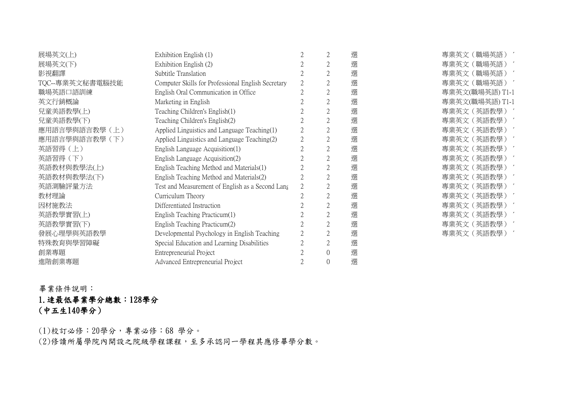| 展場英文(上)         | Exhibition English (1)                             | $\mathbf{2}$   | 選 | 專業英文 (職場英語)     |
|-----------------|----------------------------------------------------|----------------|---|-----------------|
| 展場英文(下)         | Exhibition English (2)                             | $\mathfrak{2}$ | 選 | 專業英文(職場英語)      |
| 影視翻譯            | Subtitle Translation                               | $\overline{2}$ | 選 | 專業英文 (職場英語)     |
| TQC--專業英文秘書電腦技能 | Computer Skills for Professional English Secretary | $\overline{2}$ | 選 | 專業英文 (職場英語)     |
| 職場英語口語訓練        | English Oral Communication in Office               | $\mathbf{2}$   | 選 | 專業英文(職場英語) T1-1 |
| 英文行銷概論          | Marketing in English                               | $\overline{2}$ | 選 | 專業英文(職場英語)T1-1  |
| 兒童美語教學(上)       | Teaching Children's English(1)                     | $\overline{2}$ | 選 | 專業英文 (英語教學)     |
| 兒童美語教學(下)       | Teaching Children's English(2)                     | $\overline{2}$ | 選 | 專業英文 (英語教學)     |
| 應用語言學與語言教學 (上)  | Applied Linguistics and Language Teaching(1)       | $\overline{2}$ | 選 | 專業英文 (英語教學)     |
| 應用語言學與語言教學 (下)  | Applied Linguistics and Language Teaching(2)       | $\mathbf{2}$   | 選 | 專業英文 (英語教學)     |
| 英語習得(上)         | English Language Acquisition(1)                    | $\overline{2}$ | 選 | 專業英文 (英語教學)     |
| 英語習得 (下)        | English Language Acquisition(2)                    | $\overline{2}$ | 選 | 專業英文 (英語教學)     |
| 英語教材與教學法(上)     | English Teaching Method and Materials(1)           | $\mathbf{2}$   | 選 | 專業英文(英語教學)      |
| 英語教材與教學法(下)     | English Teaching Method and Materials(2)           | $\mathbf{2}$   | 選 | 專業英文 (英語教學)     |
| 英語測驗評量方法        | Test and Measurement of English as a Second Lang   | $\mathbf{2}$   | 選 | 專業英文(英語教學)      |
| 教材理論            | Curriculum Theory                                  | $\overline{2}$ | 選 | 專業英文 (英語教學)     |
| 因材施教法           | Differentiated Instruction                         | $\overline{2}$ | 選 | 專業英文(英語教學)      |
| 英語教學實習(上)       | English Teaching Practicum(1)                      | $\mathbf{2}$   | 選 | 專業英文(英語教學)      |
| 英語教學實習(下)       | English Teaching Practicum(2)                      | $\overline{2}$ | 選 | 專業英文(英語教學)      |
| 發展心理學與英語教學      | Developmental Psychology in English Teaching       | $\overline{2}$ | 選 | 專業英文 (英語教學)     |
| 特殊教育與學習障礙       | Special Education and Learning Disabilities        | $\overline{2}$ | 選 |                 |
| 創業專題            | Entrepreneurial Project                            | $\overline{0}$ | 選 |                 |
| 進階創業專題          | Advanced Entrepreneurial Project                   | $\theta$       | 選 |                 |

畢業條件說明:

1.逹最低畢業學分總數:128學分 (中五生140學分)

(1)校訂必修:20學分,專業必修:68 學分。 (2)修讀所屬學院內開設之院級學程課程,至多承認同一學程其應修畢學分數。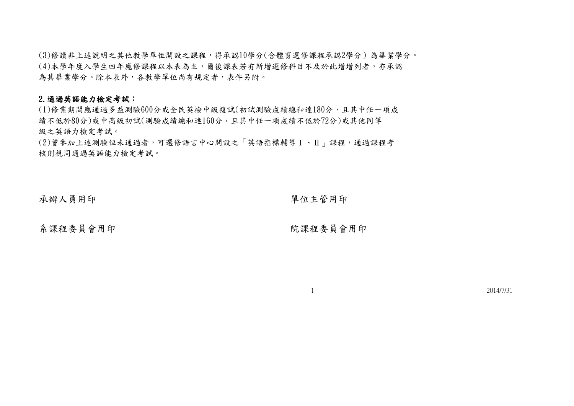(3)修讀非上述說明之其他教學單位開設之課程,得承認10學分(含體育選修課程承認2學分)為畢業學分。 (4)本學年度入學生四年應修課程以本表為主,爾後課表若有新增選修科目不及於此增增列者,亦承認 為其畢業學分。除本表外,各教學單位尚有規定者,表件另附。

## 2.通過英語能力檢定考試:

(1)修業期間應通過多益測驗600分或全民英檢中級複試(初試測驗成績總和達180分,且其中任一項成 績不低於80分)或中高級初試(測驗成績總和逹160分,且其中任一項成績不低於72分)或其他同等 級之英語力檢定考試。

(2)曾參加上述測驗但未通過者,可選修語言中心開設之「英語指標輔導Ⅰ、Ⅱ」課程,通過課程考 核則視同通過英語能力檢定考試。

承辦人員用印 單位主管用印

系課程委員會用印 おおおおおおおおおおおおおおお おおおお 院課程委員會用印

1 2014/7/31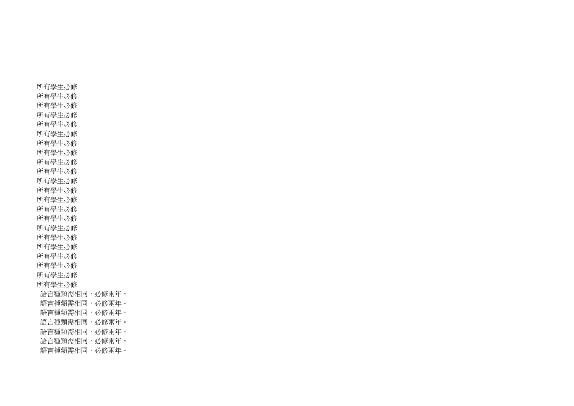所有學生必修 所有學生必修 所有學生必修 所有學生必修 所有學生必修 所有學生必修 所有學生必修 所有學生必修 所有學生必修 所有學生必修 所有學生必修 所有學生必修 所有學生必修 所有學生必修 所有學生必修 所有學生必修 所有學生必修 所有學生必修 所有學生必修 所有學生必修 所有學生必修 所有學生必修 語言種類需相同,必修兩年。 語言種類需相同,必修兩年。 語言種類需相同,必修兩年。 語言種類需相同,必修兩年。 語言種類需相同,必修兩年。 語言種類需相同,必修兩年。 語言種類需相同,必修兩年。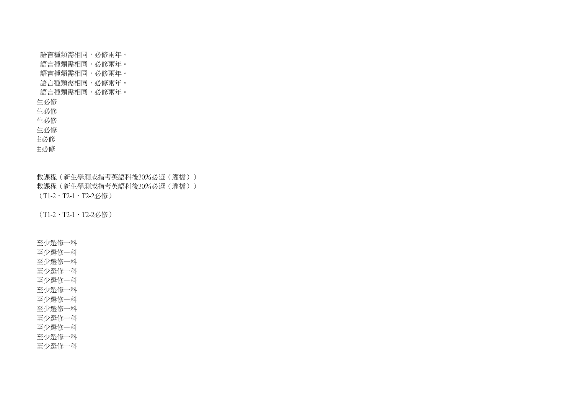語言種類需相同,必修兩年。 語言種類需相同,必修兩年。 語言種類需相同,必修兩年。 語言種類需相同,必修兩年。 語言種類需相同,必修兩年。 生必修 生必修 生必修 生必修 主必修 主必修

救課程(新生學測或指考英語科後30%必選(灌檔)) 救課程(新生學測或指考英語科後30%必選(灌檔)) (T1-2、T2-1、T2-2必修)

(T1-2、T2-1、T2-2必修)

至少選修一科

至少選修一科

至少選修一科

至少選修一科

至少選修一科

至少選修一科

至少選修一科

至少選修一科

至少選修一科

至少選修一科

至少選修一科

至少選修一科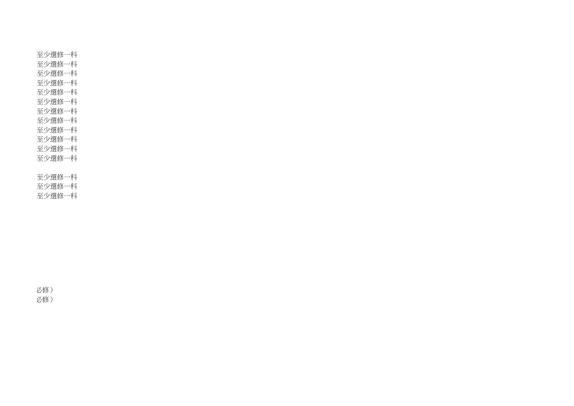至少選修一科 至少選修一科 至少選修一科 至少選修一科 至少選修一科 至少選修一科 至少選修一科 至少選修一科 至少選修一科 至少選修一科 至少選修一科 至少選修一科 至少選修一科

至少選修一科

至少選修一科

必修) 必修)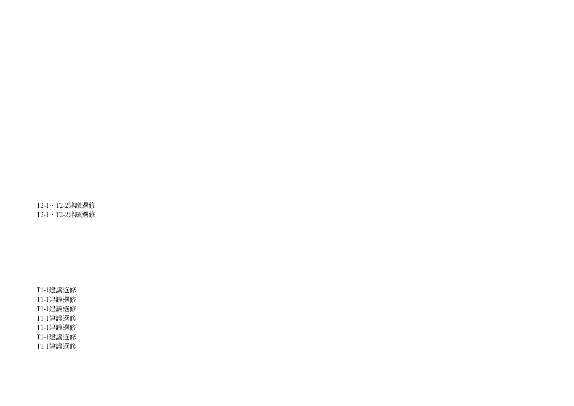專業英文(共同選修) T2-1、T2-2建議選修 專業英文(共同選修) T2-1、T2-2建議選修

T1-1建議選修 T1-1建議選修 T1-1建議選修 T1-1建議選修 T1-1建議選修 T1-1建議選修 T1-1建議選修